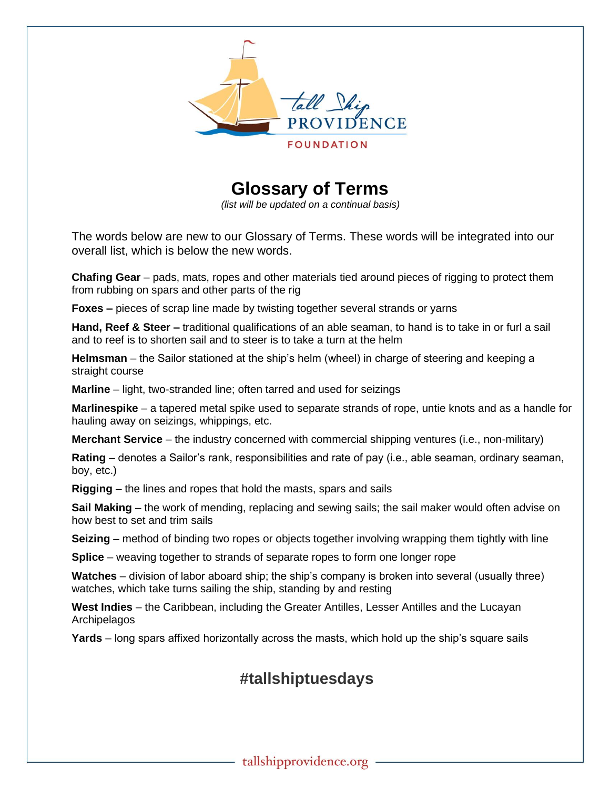

 **Glossary of Terms** 

 *(list will be updated on a continual basis)*

The words below are new to our Glossary of Terms. These words will be integrated into our overall list, which is below the new words.

**Chafing Gear** – pads, mats, ropes and other materials tied around pieces of rigging to protect them from rubbing on spars and other parts of the rig

**Foxes –** pieces of scrap line made by twisting together several strands or yarns

**Hand, Reef & Steer –** traditional qualifications of an able seaman, to hand is to take in or furl a sail and to reef is to shorten sail and to steer is to take a turn at the helm

**Helmsman** – the Sailor stationed at the ship's helm (wheel) in charge of steering and keeping a straight course

**Marline** – light, two-stranded line; often tarred and used for seizings

**Marlinespike** – a tapered metal spike used to separate strands of rope, untie knots and as a handle for hauling away on seizings, whippings, etc.

**Merchant Service** – the industry concerned with commercial shipping ventures (i.e., non-military)

**Rating** – denotes a Sailor's rank, responsibilities and rate of pay (i.e., able seaman, ordinary seaman, boy, etc.)

**Rigging** – the lines and ropes that hold the masts, spars and sails

**Sail Making** – the work of mending, replacing and sewing sails; the sail maker would often advise on how best to set and trim sails

**Seizing** – method of binding two ropes or objects together involving wrapping them tightly with line

**Splice** – weaving together to strands of separate ropes to form one longer rope

**Watches** – division of labor aboard ship; the ship's company is broken into several (usually three) watches, which take turns sailing the ship, standing by and resting

**West Indies** – the Caribbean, including the Greater Antilles, Lesser Antilles and the Lucayan Archipelagos

**Yards** – long spars affixed horizontally across the masts, which hold up the ship's square sails

## **#tallshiptuesdays**